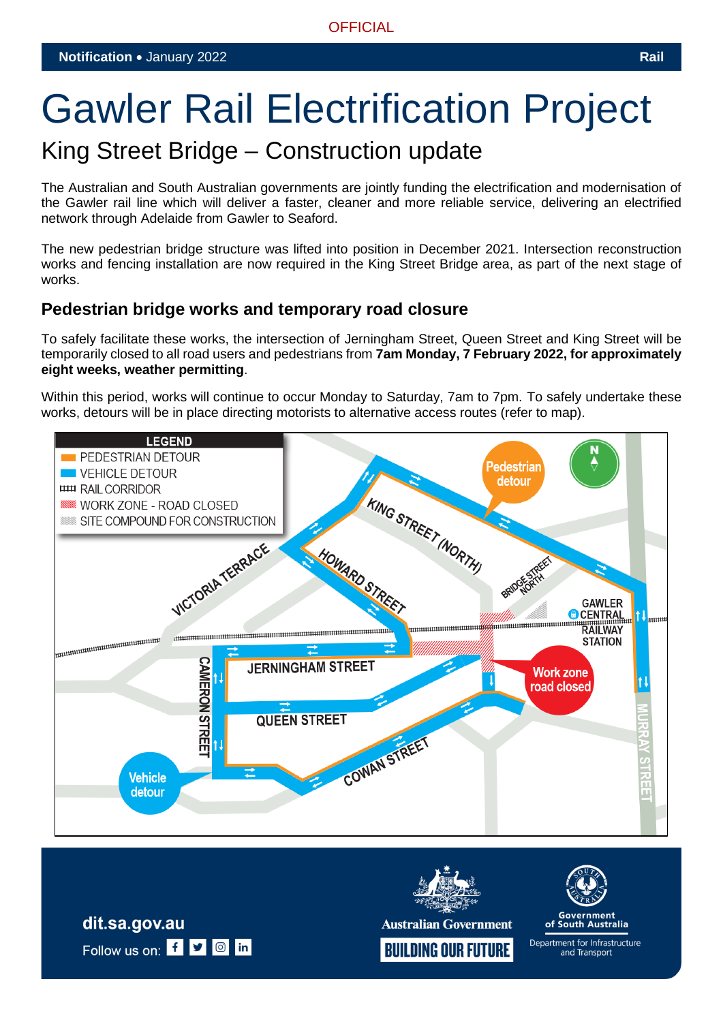# Gawler Rail Electrification Project

# King Street Bridge – Construction update

The Australian and South Australian governments are jointly funding the electrification and modernisation of the Gawler rail line which will deliver a faster, cleaner and more reliable service, delivering an electrified network through Adelaide from Gawler to Seaford.

The new pedestrian bridge structure was lifted into position in December 2021. Intersection reconstruction works and fencing installation are now required in the King Street Bridge area, as part of the next stage of works.

## **Pedestrian bridge works and temporary road closure**

To safely facilitate these works, the intersection of Jerningham Street, Queen Street and King Street will be temporarily closed to all road users and pedestrians from **7am Monday, 7 February 2022, for approximately eight weeks, weather permitting**.

Within this period, works will continue to occur Monday to Saturday, 7am to 7pm. To safely undertake these works, detours will be in place directing motorists to alternative access routes (refer to map).





**Australian Government** 



of South Australia